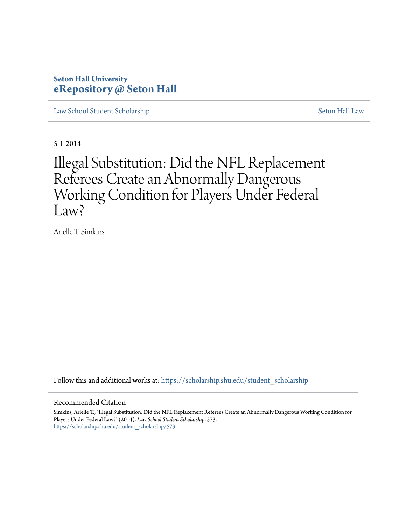# **Seton Hall University [eRepository @ Seton Hall](https://scholarship.shu.edu?utm_source=scholarship.shu.edu%2Fstudent_scholarship%2F573&utm_medium=PDF&utm_campaign=PDFCoverPages)**

[Law School Student Scholarship](https://scholarship.shu.edu/student_scholarship?utm_source=scholarship.shu.edu%2Fstudent_scholarship%2F573&utm_medium=PDF&utm_campaign=PDFCoverPages) [Seton Hall Law](https://scholarship.shu.edu/law?utm_source=scholarship.shu.edu%2Fstudent_scholarship%2F573&utm_medium=PDF&utm_campaign=PDFCoverPages)

5-1-2014

# Illegal Substitution: Did the NFL Replacement Referees Create an Abnormally Dangerous Working Condition for Players Under Federal Law?

Arielle T. Simkins

Follow this and additional works at: [https://scholarship.shu.edu/student\\_scholarship](https://scholarship.shu.edu/student_scholarship?utm_source=scholarship.shu.edu%2Fstudent_scholarship%2F573&utm_medium=PDF&utm_campaign=PDFCoverPages)

#### Recommended Citation

Simkins, Arielle T., "Illegal Substitution: Did the NFL Replacement Referees Create an Abnormally Dangerous Working Condition for Players Under Federal Law?" (2014). *Law School Student Scholarship*. 573. [https://scholarship.shu.edu/student\\_scholarship/573](https://scholarship.shu.edu/student_scholarship/573?utm_source=scholarship.shu.edu%2Fstudent_scholarship%2F573&utm_medium=PDF&utm_campaign=PDFCoverPages)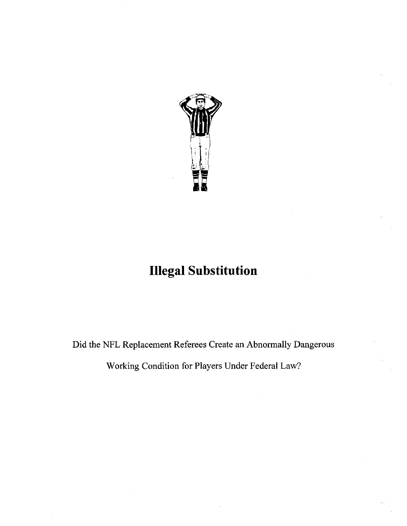

# **Illegal Substitution**

Did the NFL Replacement Referees Create an Abnormally Dangerous

Working Condition for Players Under Federal Law?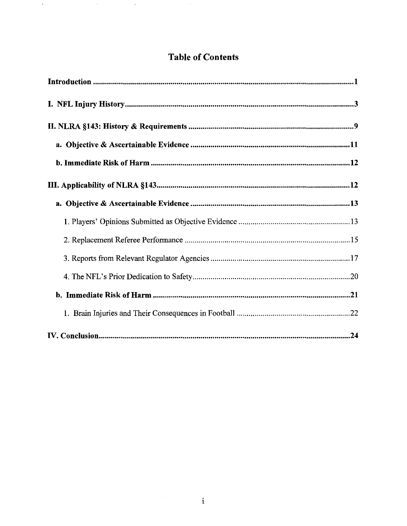# **Table of Contents**

 $\sim$ 

 $\sim$ 

 $\langle \cdot, \cdot \rangle$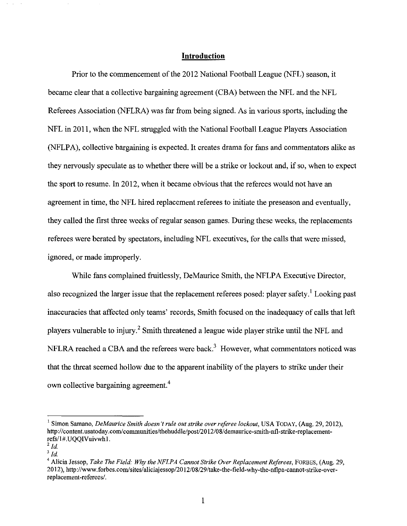#### **Introduction**

Prior to the commencement of the 2012 National Football League (NFL) season, it became clear that a collective bargaining agreement (CBA) between the NFL and the NFL Referees Association (NFLRA) was far from being signed. As in various sports, including the NFL in 2011, when the NFL struggled with the National Football League Players Association (NFLPA), collective bargaining is expected. It creates drama for fans and commentators alike as they nervously speculate as to whether there will be a strike or lockout and, if so, when to expect the sport to resume. In 2012, when it became obvious that the referees would not have an agreement in time, the NFL hired replacement referees to initiate the preseason and eventually, they called the first three weeks of regular season games. During these weeks, the replacements referees were berated by spectators, including NFL executives, for the calls that were missed, ignored, or made improperly.

While fans complained fruitlessly, DeMaurice Smith, the NFLPA Executive Director, also recognized the larger issue that the replacement referees posed: player safety.<sup>1</sup> Looking past inaccuracies that affected only teams' records, Smith focused on the inadequacy of calls that left players vulnerable to injury.2 Smith threatened a league wide player strike until the NFL and NFLRA reached a CBA and the referees were back.<sup>3</sup> However, what commentators noticed was that the threat seemed hollow due to the apparent inability of the players to strike under their own collective bargaining agreement. <sup>4</sup>

<sup>&</sup>lt;sup>1</sup> Simon Samano, *DeMaurice Smith doesn't rule out strike over referee lockout*, USA TODAY, (Aug. 29, 2012), http:/ /content. usatoday.com/ communities/thehuddle/post/20 12/08/demaurice-smith-nfl-strike-replacementrefs/l#.UQQIVuivwhl.

 $^{2}$  *ld*.

 $3$  *Id.* 

<sup>&</sup>lt;sup>4</sup> Alicia Jessop, *Take The Field: Why the NFLPA Cannot Strike Over Replacement Referees*, FORBES, (Aug. 29, 20 12), http://www .forbes.com/sites/aliciajessop/20 12/08/29/take-the-field-why-the-nflpa-cannot-strike-overreplacement-referees/.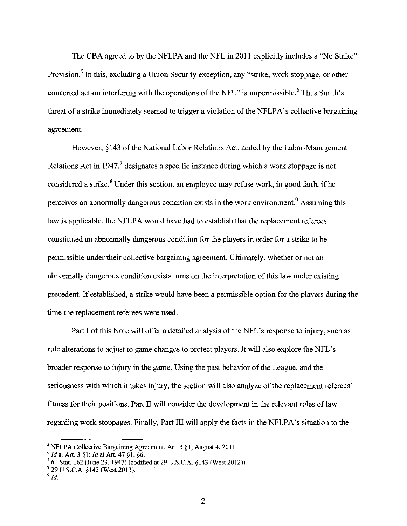The CBA agreed to by the NFLPA and the NFL in 2011 explicitly includes a "No Strike" Provision.<sup>5</sup> In this, excluding a Union Security exception, any "strike, work stoppage, or other concerted action interfering with the operations of the NFL" is impermissible.<sup>6</sup> Thus Smith's threat of a strike immediately seemed to trigger a violation of the NFLPA's collective bargaining agreement.

However, §143 of the National Labor Relations Act, added by the Labor-Management Relations Act in 1947, $\frac{7}{3}$  designates a specific instance during which a work stoppage is not considered a strike.<sup>8</sup> Under this section, an employee may refuse work, in good faith, if he perceives an abnormally dangerous condition exists in the work environment.<sup>9</sup> Assuming this law is applicable, the NFLPA would have had to establish that the replacement referees constituted an abnormally dangerous condition for the players in order for a strike to be permissible under their collective bargaining agreement. Ultimately, whether or not an abnormally dangerous condition exists turns on the interpretation of this law under existing precedent. If established, a strike would have been a permissible option for the players during the time the replacement referees were used.

Part I of this Note will offer a detailed analysis of the NFL's response to injury, such as rule alterations to adjust to game changes to protect players. It will also explore the NFL's broader response to injury in the game. Using the past behavior of the League, and the seriousness with which it takes injury, the section will also analyze of the replacement referees' fitness for their positions. Part II will consider the development in the relevant rnles of law regarding work stoppages. Finally, Part III will apply the facts in the NFLPA's situation to the

<sup>&</sup>lt;sup>5</sup> NFLPA Collective Bargaining Agreement, Art. 3 §1, August 4, 2011.<br>
<sup>6</sup> *Id* at Art. 3 §1; *Id* at Art. 47 §1, §6.<br>
<sup>7</sup> 61 Stat. 162 (June 23, 1947) (codified at 29 U.S.C.A. §143 (West 2012)).<br>
<sup>8</sup> 29 U.S.C.A. §143 (We

 $^9$  *Id.*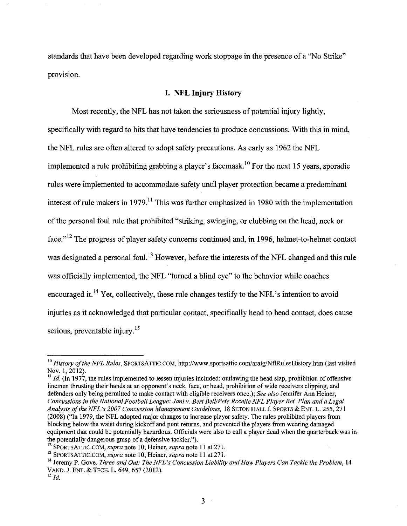standards that have been developed regarding work stoppage in the presence of a "No Strike" provision.

#### **I. NFL Injury History**

Most recently, the NFL has not taken the seriousness of potential injury lightly, specifically with regard to hits that have tendencies to produce concussions. With this in mind, the NFL rules are often altered to adopt safety precautions. As early as 1962 the NFL implemented a rule prohibiting grabbing a player's facemask.<sup>10</sup> For the next 15 years, sporadic rules were implemented to accommodate safety until player protection became a predominant interest of rule makers in 1979.<sup>11</sup> This was further emphasized in 1980 with the implementation of the personal foul rule that prohibited "striking, swinging, or clubbing on the head, neck or face."<sup>12</sup> The progress of player safety concerns continued and, in 1996, helmet-to-helmet contact was designated a personal foul.<sup>13</sup> However, before the interests of the NFL changed and this rule was officially implemented, the NFL "turned a blind eye" to the behavior while coaches encouraged it.<sup>14</sup> Yet, collectively, these rule changes testify to the NFL's intention to avoid injuries as it acknowledged that particular contact, specifically head to head contact, does cause serious, preventable injury. $15$ 

 $\frac{11}{11}$  *Id.* (In 1977, the rules implemented to lessen injuries included: outlawing the head slap, prohibition of offensive linemen thrusting their hands at an opponent's neck, face, or head, prohibition of wide receivers clipping, and defenders only being permitted to make contact with eligible receivers once.); *See also* Jennifer Ann Heiner, *Concussions in the National Football League: Jani v. Bert Bell/Pete Rozelle NFL Player Ret. Plan and a Legal Analysis of the NFL 's 2007 Concussion Management Guidelines,* 18 SETON HALL J. SPORTS & ENT. L. 255, 271 (2008) ("In 1979, the NFL adopted major changes to increase player safety. The rules prohibited players from blocking below the waist during kickoff and punt returns, and prevented the players from wearing damaged equipment that could be potentially hazardous. Officials were also to call a player dead when the quarterback was in the potentially dangerous grasp of a defensive tackler.").<br><sup>12</sup> SPORTSATTIC.COM, *supra* note 10; Heiner, *supra* note 11 at 271.<br><sup>13</sup> SPORTSATTIC.COM, *supra* note 10; Heiner, *supra* note 11 at 271.<br><sup>14</sup> Jeremy P. Gove,

<sup>&</sup>lt;sup>10</sup> History of the NFL Rules, SPORTSATTIC.COM, http://www.sportsattic.com/araig/NflRulesHistory.htm (last visited Nov. 1, 2012).

V AND. J. ENT. & TECH. L. 649, 657 (2012). 15 *Id.*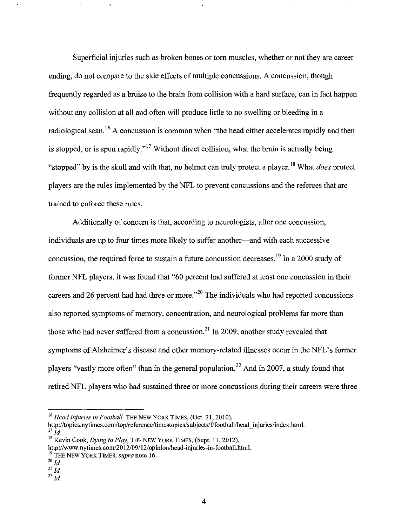Superficial injuries such as broken bones or tom muscles, whether or not they are career ending, do not compare to the side effects of multiple concussions. A concussion, though frequently regarded as a bruise to the brain from collision with a hard surface, can in fact happen without any collision at all and often will produce little to no swelling or bleeding in a radiological scan.<sup>16</sup> A concussion is common when "the head either accelerates rapidly and then is stopped, or is spun rapidly."<sup>17</sup> Without direct collision, what the brain is actually being "stopped" by is the skull and with that, no helmet can truly protect a player. 18 What *does* protect players are the rules implemented by the NFL to prevent concussions and the referees that are trained to enforce these rules.

Additionally of concern is that, according to neurologists, after one concussion, individuals are up to four times more likely to suffer another—and with each successive concussion, the required force to sustain a future concussion decreases.<sup>19</sup> In a 2000 study of former NFL players, it was found that "60 percent had suffered at least one concussion in their careers and 26 percent had had three or more."<sup>20</sup> The individuals who had reported concussions also reported symptoms of memory, concentration, and neurological problems far more than those who had never suffered from a concussion.<sup>21</sup> In 2009, another study revealed that symptoms of Alzheimer's disease and other memory-related illnesses occur in the NFL's former players "vastly more often" than in the general population.<sup>22</sup> And in 2007, a study found that retired NFL players who had sustained three or more concussions during their careers were three

http://topics.nytimes.com/top/reference/timestopics/subjects/f/footba11/head\_injuries/index.htm1.  $^{17}$  *Id* 

<sup>&</sup>lt;sup>16</sup> Head Injuries in Football, THE NEW YORK TIMES, (Oct. 21, 2010),

<sup>&</sup>lt;sup>18</sup> Kevin Cook, *Dying to Play*, THE NEW YORK TIMES, (Sept. 11, 2012),

http://www.nytimes.com/2012/09/12/opinion/head-injuries-in-football.htm1.

<sup>&</sup>lt;sup>19</sup> THE NEW YORK TIMES, *supra* note 16.

*zo Id.* 

<sup>21</sup>*Id.* 

<sup>22</sup>*Id.*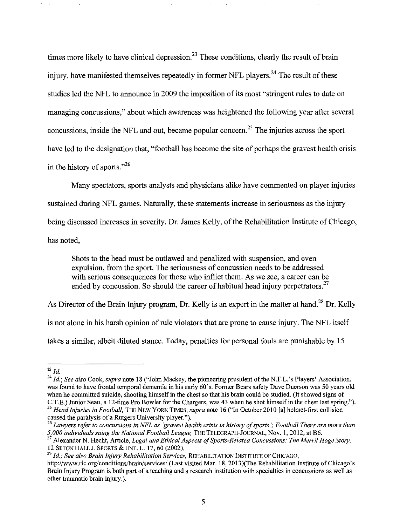times more likely to have clinical depression.<sup>23</sup> These conditions, clearly the result of brain injury, have manifested themselves repeatedly in former NFL players.<sup>24</sup> The result of these studies led the NFL to announce in 2009 the imposition of its most "stringent rules to date on managing concussions," about which awareness was heightened the following year after several concussions, inside the NFL and out, became popular concern.<sup>25</sup> The injuries across the sport have led to the designation that, "football has become the site of perhaps the gravest health crisis in the history of sports."<sup>26</sup>

Many spectators, sports analysts and physicians alike have commented on player injuries sustained during NFL games. Naturally, these statements increase in seriousness as the injury being discussed increases in severity. Dr. James Kelly, of the Rehabilitation Institute of Chicago, has noted,

Shots to the head must be outlawed and penalized with suspension, and even expulsion, from the sport. The seriousness of concussion needs to be addressed with serious consequences for those who inflict them. As we see, a career can be ended by concussion. So should the career of habitual head injury perpetrators.<sup>27</sup>

As Director of the Brain Injury program, Dr. Kelly is an expert in the matter at hand.<sup>28</sup> Dr. Kelly

is not alone in his harsh opinion of rule violators that are prone to cause injury. The NFL itself

takes a similar, albeit diluted stance. Today, penalties for personal fouls are punishable by 15

<sup>28</sup> Id.: See also Brain Injury Rehabilitation Services, REHABILITATION INSTITUTE OF CHICAGO,

<sup>&</sup>lt;sup>23</sup> Id.<br><sup>24</sup> Id.; See also Cook, *supra* note 18 ("John Mackey, the pioneering president of the N.F.L.'s Players' Association, was found to have frontal temporal dementia in his early 60's. Former Bears safety Dave Duerson was 50 years old when he committed suicide, shooting himself in the chest so that his brain could be studied. (It showed signs of C.T.E.) Junior Seau, a 12-time Pro Bowler for the Chargers, was 43 when he shot himself in the chest last spr <sup>25</sup> Head Injuries in Football, THE NEW YORK TIMES, supra note 16 ("In October 2010 [a] helmet-first collision

caused the paralysis of a Rutgers University player.").<br><sup>26</sup> Lawyers refer to concussions in NFL as 'gravest health crisis in history of sports'; Football There are more than<br>5,000 individuals suing the National Football L

*<sup>5,000</sup> individuals suing the National Actional Football, 1986, 1996, 1996, 1996, 27 Alexander N. Hecht, Article, <i>Legal and Ethical Aspects of Sports-Related Concussions: The Merril Hoge Story,* 12 SETON HALL J. SPORTS & E

http://www.ric.org/conditions/brain/services/ (Last visited Mar. 18, 2013)(The Rehabilitation Institute of Chicago's Brain Injury Program is both part of a teaching and a research institution with specialties in concussions as well as other traumatic brain injury.).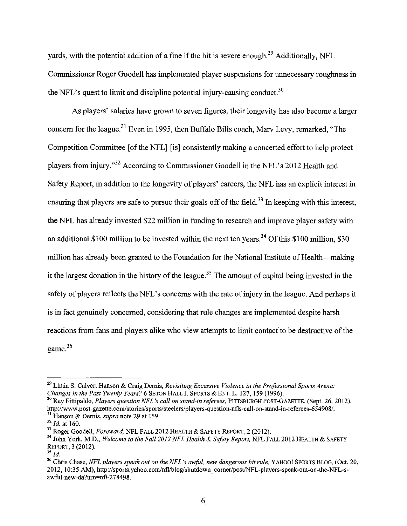vards, with the potential addition of a fine if the hit is severe enough.<sup>29</sup> Additionally, NFL Commissioner Roger Goodell has implemented player suspensions for unnecessary roughness in the NFL's quest to limit and discipline potential injury-causing conduct.<sup>30</sup>

As players' salaries have grown to seven figures, their longevity has also become a larger concern for the league.<sup>31</sup> Even in 1995, then Buffalo Bills coach, Mary Levy, remarked, "The Competition Committee [of the NFL] [is] consistently making a concerted effort to help protect players from injury."32 According to Commissioner Goodell in the NFL's 2012 Health and Safety Report, in addition to the longevity of players' careers, the NFL has an explicit interest in ensuring that players are safe to pursue their goals off of the field.<sup>33</sup> In keeping with this interest, the NFL has already invested \$22 million in funding to research and improve player safety with an additional \$100 million to be invested within the next ten years.<sup>34</sup> Of this \$100 million, \$30 million has already been granted to the Foundation for the National Institute of Health—making it the largest donation in the history of the league.<sup>35</sup> The amount of capital being invested in the safety of players reflects the NFL's concerns with the rate of injury in the league. And perhaps it is in fact genuinely concerned, considering that rule changes are implemented despite harsh reactions from fans and players alike who view attempts to limit contact to be destructive of the game.<sup>36</sup>

<sup>&</sup>lt;sup>29</sup> Linda S. Calvert Hanson & Craig Dernis, *Revisiting Excessive Violence in the Professional Sports Arena: Changes in the Past Twenty Years?* 6 SETON HALL J. SPORTS & ENT. L. 127, 159 (1996).

<sup>&</sup>lt;sup>30</sup> Ray Fittipaldo, *Players question NFL's call on stand-in referees*, PITTSBURGH POST-GAZETTE, (Sept. 26, 2012), http://www.post-gazette.com/stories/sports/steelers/players-question-nfls-call-on-stand-in-referees-654908/. <sup>31</sup> Hanson & Dernis, *supra* note 29 at 159.<br><sup>32</sup> Id. at 160.<br><sup>33</sup> Roger Goodell, *Foreward*, NFL FALL 2012 HEALTH & SAFETY REPORT, 2 (2012).<br><sup>34</sup> John York, M.D., *Welcome to the Fall 2012 NFL Health & Safety Report*, N

REPORT, 3 (2012). 35 *Id* 

<sup>&</sup>lt;sup>36</sup> Chris Chase, *NFL players speak out on the NFL's awful, new dangerous hit rule*, YAHOO! SPORTS BLOG, (Oct. 20, 2012, 10:35 AM), http://sports.yahoo.com/nfl/blog/shutdown corner/post/NFL-players-speak-out-on-the-NFL-sawful-new-da?um~nfl-278498.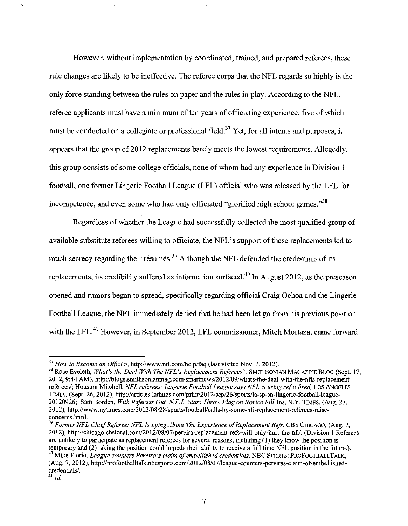However, without implementation by coordinated, trained, and prepared referees, these rule changes are likely to be ineffective. The referee corps that the NFL regards so highly is the only force standing between the rules on paper and the rules in play. According to the NFL, referee applicants must have a minimum of ten years of officiating experience, five of which must be conducted on a collegiate or professional field.<sup>37</sup> Yet, for all intents and purposes, it appears that the group of 2012 replacements barely meets the lowest requirements. Allegedly, this group consists of some college officials, none of whom had any experience in Division 1 football, one former Lingerie Football League (LFL) official who was released by the LFL for incompetence, and even some who had only officiated "glorified high school games."<sup>38</sup>

Regardless of whether the League had successfully collected the most qualified group of available substitute referees willing to officiate, the NFL' s support of these replacements led to much secrecy regarding their résumés.<sup>39</sup> Although the NFL defended the credentials of its replacements, its credibility suffered as information surfaced. 40 In August 2012, as the preseason opened and rumors began to spread, specifically regarding official Craig Ochoa and the Lingerie Football League, the NFL immediately denied that he had been let go from his previous position with the LFL.<sup>41</sup> However, in September 2012, LFL commissioner, Mitch Mortaza, came forward

<sup>&</sup>lt;sup>37</sup> How to Become an Official, http://www.nfl.com/help/faq (last visited Nov. 2, 2012).<br><sup>38</sup> Rose Eveleth, *What's the Deal With The NFL's Replacement Referees?*, SMITHSONIAN MAGAZINE BLOG (Sept. 17, 2012, 9:44 AM), http:/ /blogs.smithsonianmag.com/ smartnews/20 12/09/whats-the-deal-with-the-nfls-replacementreferees/; Houston Mitchell, *NFL referees: Lingerie Football League says NFL is using refit fired,* Los ANGELES TIMES, (Sept. 26, 20 12), http://articles.latimes.com/print/20 12/sep/26/sports/la-sp-sn-lingerie-football-league-20120926; Sam Borden, *With Referees Out, N.F.L. Stars Throw Flag on Novice* Fill-Ins, N.Y. TIMES, (Aug. 27, 2012), http://www.nytimes.com/2012/08/28/sports/football/calls-by-some-nfl-replacement-referees-raiseconcerns.html.

<sup>&</sup>lt;sup>39</sup> Former NFL Chief Referee: NFL Is Lying About The Experience of Replacement Refs, CBS CHICAGO, (Aug. 7, 20 12), http ://chicago.cbslocal.com/20 12/08/07/pereira-replacement -refs-will-only-hurt-the-nfll. (Division 1 Referees are unlikely to participate as replacement referees for several reasons, including ( 1) they know the position is temporary and (2) taking the position could impede their ability to receive a full time NFL position in the future.).<br><sup>40</sup> Mike Florio, *League counters Pereira's claim of embellished credentials*, NBC SPORTS: PROFOOTBALLT

<sup>(</sup>Aug. 7, 20 12), http ://profootballtalk.nbcsports.com/20 12/08/07 /league-counters-pereiras-claim-of-embellishedcredentials/.

<sup>41</sup>*/d.*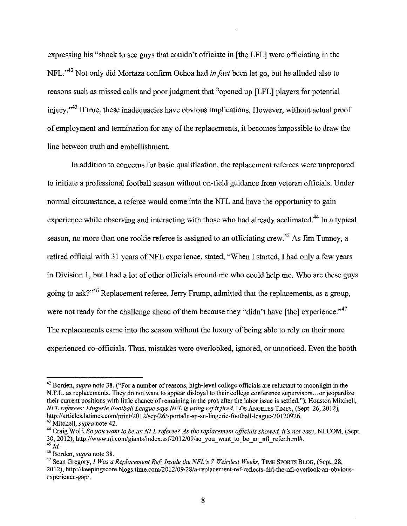expressing his "shock to see guys that couldn't officiate in [the LFL] were officiating in the NFL."42 Not only did Mortaza confirm Ochoa had *in fact* been let go, but he alluded also to reasons such as missed calls and poor judgment that "opened up [LFL] players for potential injury."<sup>43</sup> If true, these inadequacies have obvious implications. However, without actual proof of employment and termination for any of the replacements, it becomes impossible to draw the line between truth and embellishment.

In addition to concerns for basic qualification, the replacement referees were unprepared to initiate a professional football season without on-field guidance from veteran officials. Under normal circumstance, a referee would come into the NFL and have the opportunity to gain experience while observing and interacting with those who had already acclimated.<sup>44</sup> In a typical season, no more than one rookie referee is assigned to an officiating crew.<sup>45</sup> As Jim Tunney, a retired official with 31 years of NFL experience, stated, "When I started, I had only a few years in Division I, but I had a lot of other officials around me who could help me. Who are these guys going to ask?"46 Replacement referee, Jerry Frump, admitted that the replacements, as a group, were not ready for the challenge ahead of them because they "didn't have [the] experience."<sup>47</sup> The replacements came into the season without the luxury of being able to rely on their more experienced co-officials. Thus, mistakes were overlooked, ignored, or unnoticed. Even the booth

<sup>42</sup> Borden, *supra* note 38. ("For a number of reasons, high-level college officials are reluctant to moonlight in the N.F.L. as replacements. They do not want to appear disloyal to their college conference supervisors ... or jeopardize their current positions with little chance of remaining in the pros after the labor issue is settled."); Houston Mitchell, *NFL referees: Lingerie Football League says NFL is using refit fired,* Los ANGELES TIMES, (Sept. 26, 2012), http://articles.latimes.com/print/2012/sep/26/sports/la-sp-sn-lingerie-football-league-20120926.<br><sup>43</sup> Mitchell. *supra* note 42.

<sup>&</sup>lt;sup>44</sup> Craig Wolf, *So you want to be an NFL referee? As the replacement officials showed, it's not easy, NJ.COM, (Sept.* 30, 2012), http://www.nj.com/giants/index.ssf/2012/09/so you want to be an nfl refer.html#.  $45$  *Id.* 

<sup>46</sup> Borden, *supra* note 38.

<sup>&</sup>lt;sup>47</sup> Sean Gregory, *I Was a Replacement Ref: Inside the NFL's 7 Weirdest Weeks*, TIME SPORTS BLOG, (Sept. 28, 20 12), http:/ /keepingscore. blogs.time.com/20 12/09/28/a-replacement-ref-reflects-did-the-nfl-overlook-an-obviousexperience-gap/.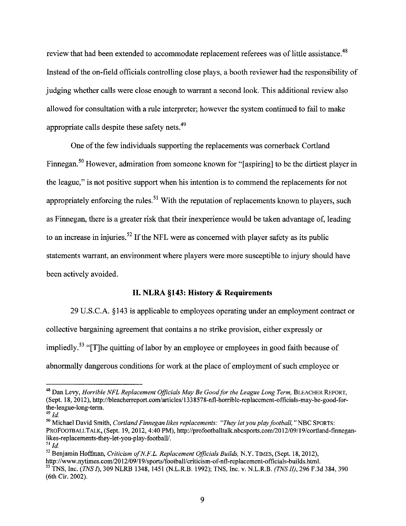review that had been extended to accommodate replacement referees was of little assistance.<sup>48</sup> Instead of the on-field officials controlling close plays, a booth reviewer had the responsibility of judging whether calls were close enough to warrant a second look. This additional review also allowed for consultation with a rule interpreter; however the system continued to fail to make appropriate calls despite these safety nets.<sup>49</sup>

One of the few individuals supporting the replacements was cornerback Cortland Finnegan.<sup>50</sup> However, admiration from someone known for "[aspiring] to be the dirtiest player in the league," is not positive support when his intention is to commend the replacements for not appropriately enforcing the rules.<sup>51</sup> With the reputation of replacements known to players, such as Finnegan, there is a greater risk that their inexperience would be taken advantage of, leading to an increase in injuries.<sup>52</sup> If the NFL were as concerned with player safety as its public statements warrant, an environment where players were more susceptible to injury should have been actively avoided.

## **II. NLRA §143: History & Requirements**

29 U.S.C.A. §143 is applicable to employees operating under an employment contract or collective bargaining agreement that contains a no strike provision, either expressly or impliedly.<sup>53</sup> "[T]he quitting of labor by an employee or employees in good faith because of abnormally dangerous conditions for work at the place of employment of such employee or

<sup>&</sup>lt;sup>48</sup> Dan Levy, *Horrible NFL Replacement Officials May Be Good for the League Long Term*, BLEACHER REPORT, (Sept. 18, 20 12), http://b leacherreport.com/articles/133 8578-nfl-horrible-replacement-officials-may-be-good-forthe-league-long-term.<br> $^{49}$  *Id* 

<sup>••</sup> *Id* 50 Michael David Smith, *Cortland Finnegan likes replacements: "They let you play football,* "NBC SPORTS: PROFOOTBALLTALK, (Sept. !9, 2012, 4:40 PM), http://profootballtalk.nbcsports.com/20 12/09/19/cortland-finneganlikes-replacements-they-let-you-play-football/.<br> $^{51}$  *Id.* 

<sup>&</sup>lt;sup>52</sup> Benjamin Hoffman, *Criticism of N.F.L. Replacement Officials Builds*, N.Y. TIMES, (Sept. 18, 2012), http://www.nytimes.com/2012/09/19/sports/football/criticism-of-nfl-replacement-officials-builds.html. <sup>53</sup> TNS. Inc. (*TNS I*), 309 NLRB 1348, 1451 (N.L.R.B. 1992); TNS, Inc. v. N.L.R.B. (*TNS II*), 296 F.3d 384, 390 (6th Cir. 2002).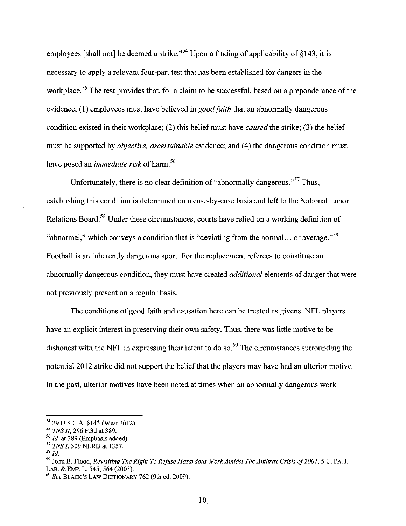employees [shall not] be deemed a strike."<sup>54</sup> Upon a finding of applicability of  $§143$ , it is necessary to apply a relevant four-part test that has been established for dangers in the workplace.<sup>55</sup> The test provides that, for a claim to be successful, based on a preponderance of the evidence, (I) employees must have believed in *good faith* that an abnormally dangerous condition existed in their workplace; (2) this belief must have *caused* the strike; (3) the belief must be supported by *objective, ascertainable* evidence; and (4) the dangerous condition must have posed an *immediate risk* of harm. 56

Unfortunately, there is no clear definition of "abnormally dangerous."57 Thus, establishing this condition is determined on a case-by-case basis and left to the National Labor Relations Board. 58 Under these circumstances, courts have relied on a working definition of "abnormal," which conveys a condition that is "deviating from the normal... or average."<sup>59</sup> Football is an inherently dangerous sport. For the replacement referees to constitute an abnormally dangerous condition, they must have created *additional* elements of danger that were not previously present on a regular basis.

The conditions of good faith and causation here can be treated as givens. NFL players have an explicit interest in preserving their own safety. Thus, there was little motive to be dishonest with the NFL in expressing their intent to do so.<sup>60</sup> The circumstances surrounding the potential 2012 strike did not support the belief that the players may have had an ulterior motive. In the past, ulterior motives have been noted at times when an abnormally dangerous work

<sup>54 29</sup> U.S.C.A. §143 (West 2012).

<sup>&</sup>lt;sup>55</sup> *TNS II,* 296 F.3d at 389.<br><sup>56</sup> *Id.* at 389 (Emphasis added).<br><sup>57</sup> *TNS I*, 309 NLRB at 1357.<br>58 *Id.* 

<sup>&</sup>lt;sup>59</sup> John B. Flood, *Revisiting The Right To Refuse Hazardous Work Amidst The Anthrax Crisis of 2001*, 5 U. PA. J. LAB. & EMP. L. 545, 564 (2003).

<sup>60</sup>*See* BLACK'S LAW DICTIONARY 762 (9th ed. 2009).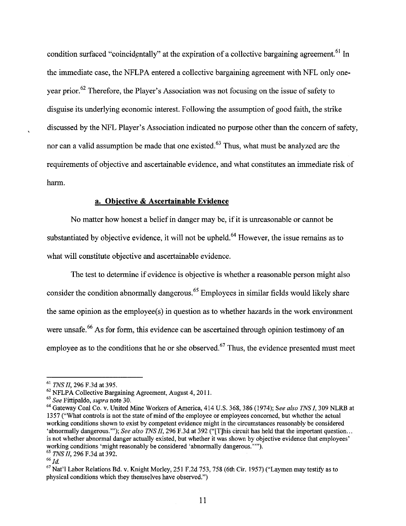condition surfaced "coincidentally" at the expiration of a collective bargaining agreement.<sup>61</sup> In the immediate case, the NFLPA entered a collective bargaining agreement with NFL only oneyear prior. 62 Therefore, the Player's Association was not focusing on the issue of safety to disguise its underlying economic interest. Following the assumption of good faith, the strike discussed by the NFL Player's Association indicated no purpose other than the concern of safety, nor can a valid assumption be made that one existed.<sup>63</sup> Thus, what must be analyzed are the requirements of objective and ascertainable evidence, and what constitutes an immediate risk of harm.

# **a. Objective & Ascertainable Evidence**

No matter how honest a belief in danger may be, if it is unreasonable or cannot be substantiated by objective evidence, it will not be upheld.<sup>64</sup> However, the issue remains as to what will constitute objective and ascertainable evidence.

The test to determine if evidence is objective is whether a reasonable person might also consider the condition abnormally dangerous. 65 Employees in similar fields would likely share the same opinion as the employee(s) in question as to whether hazards in the work environment were unsafe.<sup>66</sup> As for form, this evidence can be ascertained through opinion testimony of an employee as to the conditions that he or she observed.<sup> $67$ </sup> Thus, the evidence presented must meet

<sup>&</sup>lt;sup>61</sup> TNS II, 296 F.3d at 395.<br><sup>62</sup> NFLPA Collective Bargaining Agreement, August 4, 2011.<br><sup>63</sup> See Fittipaldo, *supra* note 30.<br><sup>64</sup> Gateway Coal Co. v. United Mine Workers of America, 414 U.S. 368, 386 (1974); See also T 1357 ("What controls is not the state of mind of the employee or employees concerned, but whether the actual working conditions shown to exist by competent evidence might in the circumstances reasonably be considered 'abnormally dangerous.'"); *See also TNS II*, 296 F.3d at 392 ("[T]his circuit has held that the important question... is not whether abnormal danger actually existed, but whether it was shown by objective evidence that employees' working conditions 'might reasonably be considered 'abnormally dangerous.'"'). 65 *TNS II,* 296 F.3d at 392.

 $66$   $1d$ .

<sup>&</sup>lt;sup>67</sup> Nat'l Labor Relations Bd. v. Knight Morley, 251 F.2d 753, 758 (6th Cir. 1957) ("Laymen may testify as to physical conditions which they themselves have observed.")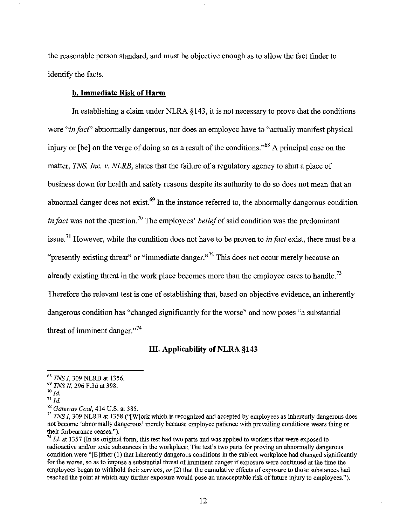the reasonable person standard, and must be objective enough as to allow the fact finder to identify the facts.

## **b. Immediate Risk of Harm**

In establishing a claim under NLRA § 143, it is not necessary to prove that the conditions were *"in fact''* abnormally dangerous, nor does an employee have to "actually manifest physical injury or [be] on the verge of doing so as a result of the conditions.<sup>568</sup> A principal case on the matter, *TNS, Inc. v. NLRB,* states that the failure of a regulatory agency to shut a place of business down for health and safety reasons despite its authority to do so does not mean that an abnormal danger does not exist.<sup>69</sup> In the instance referred to, the abnormally dangerous condition *in fact* was not the question.<sup>70</sup> The employees' *belief* of said condition was the predominant issue.71 However, while the condition does not have to be proven to *in fact* exist, there must be a "presently existing threat" or "immediate danger."<sup>72</sup> This does not occur merely because an already existing threat in the work place becomes more than the employee cares to handle.<sup>73</sup> Therefore the relevant test is one of establishing that, based on objective evidence, an inherently dangerous condition has "changed significantly for the worse" and now poses "a substantial threat of imminent danger."<sup>74</sup>

# **III. Applicability of NLRA §143**

<sup>68</sup>*TNS I,* 309 NLRB at 1356. 69 *TNS 11,* 296 F.3d at 398.

 $70$   $Id$ .

*<sup>71</sup> Id* <sup>72</sup>*Gateway Coal,* 414 U.S. at 385.

<sup>&</sup>lt;sup>73</sup> TNS I, 309 NLRB at 1358 ("[W]ork which is recognized and accepted by employees as inherently dangerous does not become 'abnormally dangerous' merely because employee patience with prevailing conditions wears thing or

 $t<sup>74</sup>$  *Id.* at 1357 (In its original form, this test had two parts and was applied to workers that were exposed to radioactive and/or toxic substances in the workplace; The test's two parts for proving an abnormally dangerous condition were "[E]ither (I) that inherently dangerous conditions in the subject workplace had changed significantly for the worse, so as to impose a substantial threat of imminent danger if exposure were continued at the time the employees began to withhold their services, *or* (2) that the cumulative effects of exposure to those substances had reached the point at which any further exposure would pose an unacceptable risk of future injury to employees.").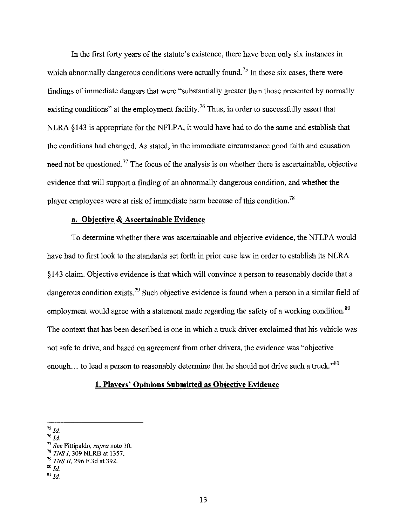In the first forty years of the statute's existence, there have been only six instances in which abnormally dangerous conditions were actually found.<sup>75</sup> In these six cases, there were findings of immediate dangers that were "substantially greater than those presented by normally existing conditions" at the employment facility.<sup>76</sup> Thus, in order to successfully assert that NLRA  $$143$  is appropriate for the NFLPA, it would have had to do the same and establish that the conditions had changed. As stated, in the immediate circumstance good faith and causation need not be questioned.<sup>77</sup> The focus of the analysis is on whether there is ascertainable, objective evidence that will support a finding of an abnormally dangerous condition, and whether the player employees were at risk of immediate harm because of this condition. 78

#### **a. Objective & Ascertainable Evidence**

To determine whether there was ascertainable and objective evidence, the NFLP A would have had to first look to the standards set forth in prior case law in order to establish its NLRA § 143 claim. Objective evidence is that which will convince a person to reasonably decide that a dangerous condition exists.<sup>79</sup> Such objective evidence is found when a person in a similar field of employment would agree with a statement made regarding the safety of a working condition.<sup>80</sup> The context that has been described is one in which a truck driver exclaimed that his vehicle was not safe to drive, and based on agreement from other drivers, the evidence was "objective enough... to lead a person to reasonably determine that he should not drive such a truck."<sup>81</sup>

#### **1. Players' Opinions Submitted as Objective Evidence**

 $^{75}$  *Id.* 

 $76 \frac{1}{Id}$ 

<sup>77</sup>*See* Fittipaldo, *supra* note 30. 78 *TNS I,* 309 NLRB at 1357. <sup>79</sup>*TNS II,* 296 F.3d at 392. so *Id*   $3^{1}$ *Id.*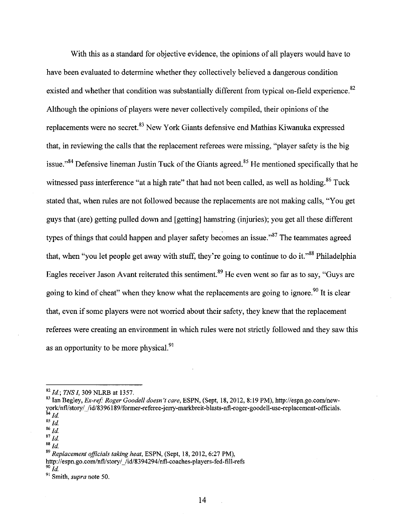With this as a standard for objective evidence, the opinions of all players would have to have been evaluated to determine whether they collectively believed a dangerous condition existed and whether that condition was substantially different from typical on-field experience.<sup>82</sup> Although the opinions of players were never collectively compiled, their opinions of the replacements were no secret.<sup>83</sup> New York Giants defensive end Mathias Kiwanuka expressed that, in reviewing the calls that the replacement referees were missing, "player safety is the big issue."<sup>84</sup> Defensive lineman Justin Tuck of the Giants agreed.<sup>85</sup> He mentioned specifically that he witnessed pass interference "at a high rate" that had not been called, as well as holding.<sup>86</sup> Tuck stated that, when rules are not followed because the replacements are not making calls, "You get guys that (are) getting pulled down and [getting] hamstring (injuries); you get all these different types of things that could happen and player safety becomes an issue." $87$  The teammates agreed that, when "you let people get away with stuff, they're going to continue to do it."<sup>88</sup> Philadelphia Eagles receiver Jason Avant reiterated this sentiment.<sup>89</sup> He even went so far as to say, "Guys are going to kind of cheat" when they know what the replacements are going to ignore.<sup>90</sup> It is clear that, even if some players were not worried about their safety, they knew that the replacement referees were creating an environment in which rules were not strictly followed and they saw this as an opportunity to be more physical.<sup>91</sup>

<sup>&</sup>lt;sup>82</sup> Id.; *TNS I*, 309 NLRB at 1357.<br><sup>83</sup> Ian Begley, *Ex-ref: Roger Goodell doesn't care*, ESPN, (Sept, 18, 2012, 8:19 PM), http://espn.go.com/newyork/nfl/story//id/8396189/former-referee-jerry-markbreit-blasts-nfl-roger-goodell-use-replacement-officials.  $^{84}$  Id.

 $\frac{85}{1}$ 

 $^{86}\,Id.$ 

 $87$  Id.

 $88$   $1d$ .

<sup>89</sup>*Replacement officials taking heat,* ESPN, (Sept, 18, 2012, 6:27PM),

http://espn.go.com/nfl/story/ /id/8394294/nfl-coaches-players-fed-fill-refs  $^{90}$  *Id.* 

<sup>&</sup>lt;sup>91</sup> Smith, *supra* note 50.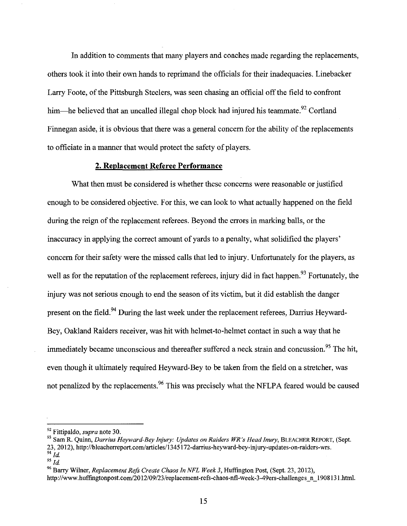In addition to comments that many players and coaches made regarding the replacements, others took it into their own hands to reprimand the officials for their inadequacies. Linebacker Larry Foote, of the Pittsburgh Steelers, was seen chasing an official off the field to confront him—he believed that an uncalled illegal chop block had injured his teammate.<sup>92</sup> Cortland Finnegan aside, it is obvious that there was a general concern for the ability of the replacements to officiate in a marmer that would protect the safety of players.

#### **2. Replacement Referee Performance**

What then must be considered is whether these concerns were reasonable or justified enough to be considered objective. For this, we can look to what actually happened on the field during the reign of the replacement referees. Beyond the errors in marking balls, or the inaccuracy in applying the correct amount of yards to a penalty, what solidified the players' concern for their safety were the missed calls that led to injury. Unfortunately for the players, as well as for the reputation of the replacement referees, injury did in fact happen.<sup>93</sup> Fortunately, the injury was not serious enough to end the season of its victim, but it did establish the danger present on the field.<sup>94</sup> During the last week under the replacement referees, Darrius Heyward-Bey, Oakland Raiders receiver, was hit with helmet-to-helmet contact in such a way that he immediately became unconscious and thereafter suffered a neck strain and concussion.<sup>95</sup> The hit, even though it ultimately required Heyward-Bey to be taken from the field on a stretcher, was not penalized by the replacements.<sup>96</sup> This was precisely what the NFLPA feared would be caused

<sup>&</sup>lt;sup>92</sup> Fittipaldo, *supra* note 30.<br><sup>93</sup> Sam R. Quinn, *Darrius Heyward-Bey Injury: Updates on Raiders WR's Head Inury*, BLEACHER REPORT, (Sept. 23, 2012), http://bleacherreport.com/articles/1345172-darrius-heyward-bey-injury-updates-on-raiders-wrs.  $^{94}$  *Id.* 95  $_{I}$ 

<sup>&</sup>lt;sup>96</sup> Barry Wilner, *Replacement Refs Create Chaos In NFL Week 3*, *Huffington Post, (Sept. 23, 2012)*,

http://www.huffingtonpost.com/2012/09/23/replacement-refs-chaos-nfl-week-3-49ers-challenges n 1908131.html.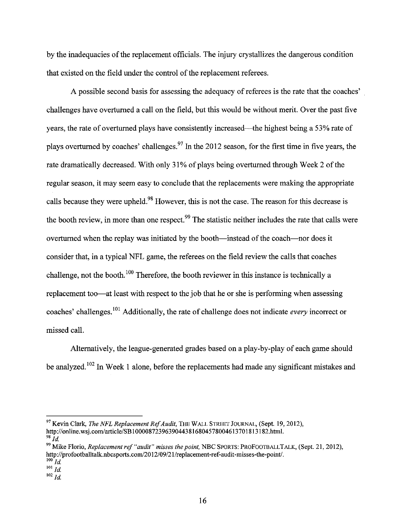by the inadequacies of the replacement officials. The injury crystallizes the dangerous condition that existed on the field under the control of the replacement referees.

A possible second basis for assessing the adequacy of referees is the rate that the coaches' challenges have overturned a call on the field, but this would be without merit. Over the past five years, the rate of overturned plays have consistently increased-the highest being a 53% rate of plays overturned by coaches' challenges.<sup>97</sup> In the 2012 season, for the first time in five years, the rate dramatically decreased. With only 31% of plays being overturned through Week 2 of the regular season, it may seem easy to conclude that the replacements were making the appropriate calls because they were upheld.<sup>98</sup> However, this is not the case. The reason for this decrease is the booth review, in more than one respect.<sup>99</sup> The statistic neither includes the rate that calls were overturned when the replay was initiated by the booth—instead of the coach—nor does it consider that, in a typical NFL game, the referees on the field review the calls that coaches challenge, not the booth.  $100$  Therefore, the booth reviewer in this instance is technically a replacement too—at least with respect to the job that he or she is performing when assessing coaches' challenges. 101 Additionally, the rate of challenge does not indicate *every* incorrect or missed call.

Alternatively, the league-generated grades based on a play-by-play of each game should be analyzed.<sup>102</sup> In Week 1 alone, before the replacements had made any significant mistakes and

97 Kevin Clark, *The NFL Replacement Ref Audit,* THE WALL STREET JOURNAL, (Sept. 19, 2012), http://online.wsj.com/article/SB10000872396390443816804578004613701813182.html.<br><sup>98</sup> *Id.* 

99 Mike Florio, *Replacement ref "audit" misses the point,* NBC SPORTS: PROFOOTBALLTALK, (Sept. 21, 2012), http://profootballtalk.nbcsports.com/2012/09/21/replacement-ref-audit-misses-the-point/.

 $100$  *Id.* 

 $\frac{1}{101}$ *Id.* 

 $102$  *Id.*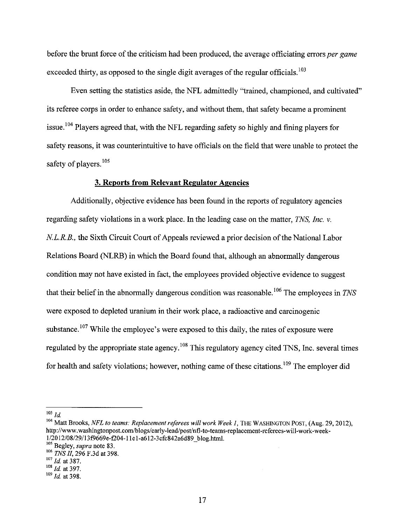before the brunt force of the criticism had been produced, the average officiating errors *per game*  exceeded thirty, as opposed to the single digit averages of the regular officials.  $^{103}$ 

Even setting the statistics aside, the NFL admittedly "trained, championed, and cultivated" its referee corps in order to enhance safety, and without them, that safety became a prominent issue. 104 Players agreed that, with the NFL regarding safety so highly and fining players for safety reasons, it was counterintuitive to have officials on the field that were unable to protect the safety of players.<sup>105</sup>

#### **3. Reports from Relevant Regulator Agencies**

Additionally, objective evidence has been found in the reports of regulatory agencies regarding safety violations in a work place. In the leading case on the matter, *TNS, Inc. v. N.L.R.B.*, the Sixth Circuit Court of Appeals reviewed a prior decision of the National Labor Relations Board (NLRB) in which the Board found that, although an abnormally dangerous condition may not have existed in fact, the employees provided objective evidence to suggest that their belief in the abnormally dangerous condition was reasonable.<sup>106</sup> The employees in *TNS* were exposed to depleted uranium in their work place, a radioactive and carcinogenic substance.  $107$  While the employee's were exposed to this daily, the rates of exposure were regulated by the appropriate state agency.  $108$  This regulatory agency cited TNS, Inc. several times for health and safety violations; however, nothing came of these citations.<sup>109</sup> The employer did

 $103$  *Id.* 

<sup>&</sup>lt;sup>104</sup> Matt Brooks, *NFL to teams: Replacement referees will work Week 1*, THE WASHINGTON POST, (Aug. 29, 2012), http://www.washingtonpost.comlblogs/early-lead/post/nfl-to-teams-replacement-referees-will-work-weekl/20 12/08/29/13f9669e-f204-ll e l-a612-3cfc842a6d89 blog.html. 105 Begley, *supra* note 83. -

<sup>106</sup> *TNS II*, 296 F.3d at 398.<br><sup>107</sup> *Id.* at 387.<br><sup>108</sup> *Id.* at 397.<br><sup>109</sup> *Id.* at 398.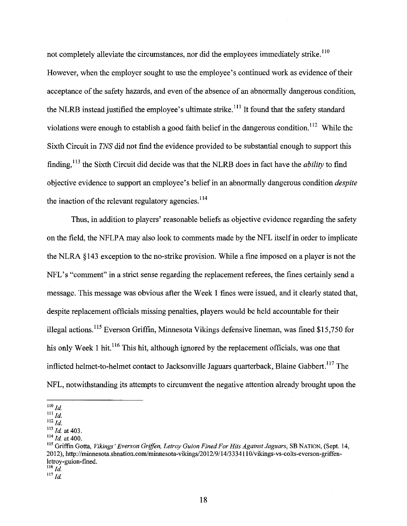not completely alleviate the circumstances, nor did the employees immediately strike.<sup>110</sup> However, when the employer sought to use the employee's continued work as evidence of their acceptance of the safety hazards, and even of the absence of an abnormally dangerous condition, the NLRB instead justified the employee's ultimate strike.<sup>111</sup> It found that the safety standard violations were enough to establish a good faith belief in the dangerous condition. 112 While the Sixth Circuit in *TNS* did not find the evidence provided to be substantial enough to support this finding, 113 the Sixth Circuit did decide was that the NLRB does in fact have the *ability* to find objective evidence to support an employee's belief in an abnormally dangerous condition *despite*  the inaction of the relevant regulatory agencies.  $114$ 

Thus, in addition to players' reasonable beliefs as objective evidence regarding the safety on the field, the NFLPA may also look to comments made by the NFL itself in order to implicate the NLRA § 143 exception to the no-strike provision. While a fine imposed on a player is not the NFL's "comment" in a strict sense regarding the replacement referees, the fines certainly send a message. This message was obvious after the Week 1 fines were issued, and it clearly stated that, despite replacement officials missing penalties, players would be held accountable for their illegal actions. 115 Everson Griffin, Minnesota Vikings defensive lineman, was fined \$15,750 for his only Week 1 hit.<sup>116</sup> This hit, although ignored by the replacement officials, was one that inflicted helmet-to-helmet contact to Jacksonville Jaguars quarterback, Blaine Gabbert.<sup>117</sup> The NFL, notwithstanding its attempts to circumvent the negative attention already brought upon the

 $110$  *Id.* 

 $^{111}$  *Id.* 

 $\frac{112}{113}$  *Id.* at 403.

<sup>&</sup>lt;sup>114</sup> *Id.* at 400.<br><sup>115</sup> Griffin Gotta, *Vikings' Everson Griffen, Letroy Guion Fined For Hits Against Jaguars, SB NATION, (Sept. 14,* 20 12), http:/ /minnesota.sbnation.com/minnesota-vikings/20 12/9/14/333411 0/vikings-vs-co1ts-everson-griffenletroy-guion-fined.

 $^{116}$  *Id.* 

 $^{117}$  *Id.*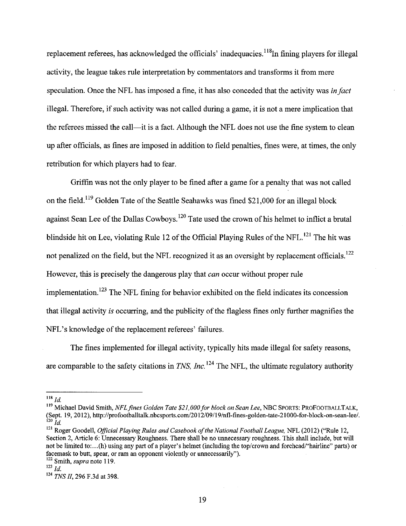replacement referees, has acknowledged the officials' inadequacies.<sup>118</sup>In fining players for illegal activity, the league takes rule interpretation by commentators and transforms it from mere speculation. Once the NFL has imposed a fine, it has also conceded that the activity was in *fact*  illegal. Therefore, if such activity was not called during a game, it is not a mere implication that the referees missed the call—it is a fact. Although the NFL does not use the fine system to clean up after officials, as fines are imposed in addition to field penalties, fines were, at times, the only retribution for which players had to fear.

Griffin was not the only player to be fined after a game for a penalty that was not called on the field.<sup>119</sup> Golden Tate of the Seattle Seahawks was fined \$21,000 for an illegal block against Sean Lee of the Dallas Cowboys.<sup>120</sup> Tate used the crown of his helmet to inflict a brutal blindside hit on Lee, violating Rule 12 of the Official Playing Rules of the NFL.<sup>121</sup> The hit was not penalized on the field, but the NFL recognized it as an oversight by replacement officials.<sup>122</sup> However, this is precisely the dangerous play that *can* occur without proper rule implementation.<sup>123</sup> The NFL fining for behavior exhibited on the field indicates its concession that illegal activity is occurring, and the publicity of the flagless fines only further magnifies the NFL's knowledge of the replacement referees' failures.

The fines implemented for illegal activity, typically hits made illegal for safety reasons, are comparable to the safety citations in *TNS, Inc.*<sup>124</sup> The NFL, the ultimate regulatory authority

 $^{118}$  *Id.* 

<sup>119</sup> Michael David Smith, *NFL fines Golden Tate \$21,000 for block on Sean Lee,* NBC SPORTS: PROFOOTBALLT ALK, (Sept. 19, 2012 ), http:/ /profootballtalk.nbcsports.com/20 12/09/19/nfl-fines-golden-tate-21 000-for-block -on-sean-lee/. 120 *Id* 

<sup>121</sup> Roger Goodell, *Official Playing Rules and Casebook of the National Football League,* NFL (2012) ("Rule 12, Section 2, Article 6: Unnecessary Roughness. There shall be no unnecessary roughness. This shall include, but will not be limited to:...(h) using any part of a player's helmet (including the top/crown and forehead/"hairline" parts) or facemask to butt, spear, or ram an opponent violently or nnnecessarily"). 122 Smith, *supra* note 119.

 $123$  *Id.* 

<sup>124</sup>*TNS II,* 296 F.3d at 398.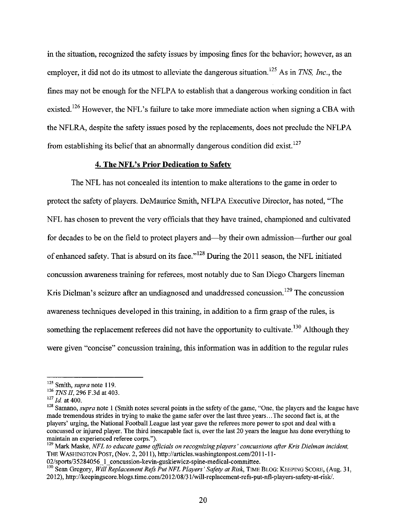in the situation, recognized the safety issues by imposing fines for the behavior; however, as an employer, it did not do its utmost to alleviate the dangerous situation.<sup>125</sup> As in *TNS, Inc.*, the fines may not be enough for the NFLPA to establish that a dangerous working condition in fact existed.<sup>126</sup> However, the NFL's failure to take more immediate action when signing a CBA with the NFLRA, despite the safety issues posed by the replacements, does not preclude the NFLPA from establishing its belief that an abnormally dangerous condition did exist. <sup>127</sup>

## **4. The NFL's Prior Dedication to Safetv**

The NFL has not concealed its intention to make alterations to the game in order to protect the safety of players. DeMaurice Smith, NFLPA Executive Director, has noted, "The NFL has chosen to prevent the very officials that they have trained, championed and cultivated for decades to be on the field to protect players and—by their own admission—further our goal of enhanced safety. That is absurd on its face."<sup>128</sup> During the 2011 season, the NFL initiated concussion awareness training for referees, most notably due to San Diego Chargers lineman Kris Dielman's seizure after an undiagnosed and unaddressed concussion.<sup>129</sup> The concussion awareness techniques developed in this training, in addition to a firm grasp of the rules, is something the replacement referees did not have the opportunity to cultivate.<sup>130</sup> Although they were given "concise" concussion training, this information was in addition to the regular rules

<sup>&</sup>lt;sup>125</sup> Smith, *supra* note 119.<br><sup>126</sup> *TNS II*, 296 F.3d at 403.<br><sup>127</sup> *Id.* at 400.<br><sup>128</sup> Samano, *supra* note 1 (Smith notes several points in the safety of the game, "One, the players and the league have made tremendous strides in trying to make the game safer over the last three years ... The second fact is, at the players' urging, the National Football League last year gave the referees more power to spot and deal with a concussed or injured player. The third inescapable fact is, over the last 20 years the league has done everything to

<sup>&</sup>lt;sup>129</sup> Mark Maske, *NFL to educate game officials on recognizing players' concussions after Kris Dielman incident,* THE WASHINGTON POST, (Nov. 2, 2011), http://articles.washingtonpost.com/2011-11-02/sports/35284056 1 concussion-kevin-guskiewicz-spine-medical-committee.

<sup>&</sup>lt;sup>130</sup> Sean Gregory, Will Replacement Refs Put NFL Players' Safety at Risk, TIME BLOG: KEEPING SCORE, (Aug. 31, 20 12), http:/ /keepingscore. blogs. time.com/20 12/08/31/will-replacement-refs-put-nfl-players-safety-at-risk/.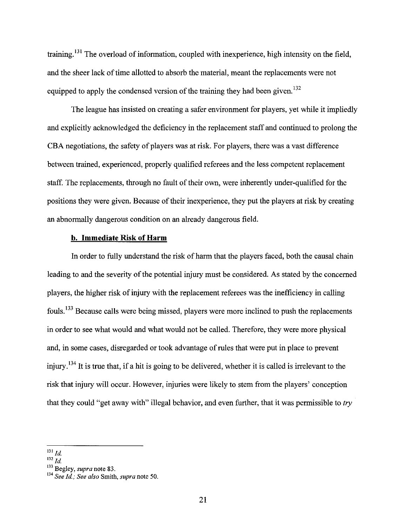training.<sup>131</sup> The overload of information, coupled with inexperience, high intensity on the field. and the sheer lack of time allotted to absorb the material, meant the replacements were not equipped to apply the condensed version of the training they had been given.  $132$ 

The league has insisted on creating a safer environment for players, yet while it impliedly and explicitly acknowledged the deficiency in the replacement staff and continued to prolong the CBA negotiations, the safety of players was at risk. For players, there was a vast difference between trained, experienced, properly qualified referees and the less competent replacement staff. The replacements, through no fault of their own, were inherently under-qualified for the positions they were given. Because of their inexperience, they put the players at risk by creating an abnormally dangerous condition on an already dangerous field.

### **b. Immediate Risk of Harm**

In order to fully understand the risk of harm that the players faced, both the causal chain leading to and the severity of the potential injury must be considered. As stated by the concerned players, the higher risk of injury with the replacement referees was the inefficiency in calling fouls. 133 Because calls were being missed, players were more inclined to push the replacements in order to see what would and what would not be called. Therefore, they were more physical and, in some cases, disregarded or took advantage of rules that were put in place to prevent injury.  $134$  It is true that, if a hit is going to be delivered, whether it is called is irrelevant to the risk that injury will occur. However, injuries were likely to stem from the players' conception that they could "get away with" illegal behavior, and even further, that it was permissible to *try* 

 $^{131}$   $^{131}$ 

 $^{132}$  Jd.

<sup>133</sup> Begley, *supra* note 83.

<sup>134</sup>*See* Jd.; *See also* Smith, *supra* note 50.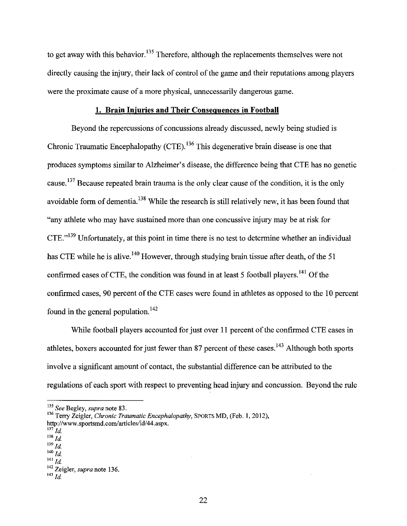to get away with this behavior.<sup>135</sup> Therefore, although the replacements themselves were not directly causing the injury, their lack of control of the game and their reputations among players were the proximate cause of a more physical, unnecessarily dangerous game.

#### **1. Brain Injuries and Their Consequences in Football**

Beyond the repercussions of concussions already discussed, newly being studied is Chronic Traumatic Encephalopathy (CTE).<sup>136</sup> This degenerative brain disease is one that produces symptoms similar to Alzheimer's disease, the difference being that CTE has no genetic cause.  $137$  Because repeated brain trauma is the only clear cause of the condition, it is the only avoidable form of dementia.<sup>138</sup> While the research is still relatively new, it has been found that "any athlete who may have sustained more than one concussive injury may be at risk for CTE."139 Unfortunately, at this point in time there is no test to determine whether an individual has CTE while he is alive.<sup>140</sup> However, through studying brain tissue after death, of the 51 confirmed cases of CTE, the condition was found in at least 5 football players.<sup>141</sup> Of the confirmed cases, 90 percent of the CTE cases were found in athletes as opposed to the 10 percent found in the general population.  $142$ 

While football players accounted for just over 11 percent of the confirmed CTE cases in athletes, boxers accounted for just fewer than 87 percent of these cases.  $^{143}$  Although both sports involve a significant amount of contact, the substantial difference can be attributed to the regulations of each sport with respect to preventing head injury and concussion. Beyond the rule

14o *Id* 

<sup>135</sup>*See* Begley, *supra* note 83.

<sup>136</sup> Terry Zeigler, *Chronic Traumatic Encephalopathy,* SPORTS MD, (Feb. l, 2012), http://www.sportsmd.com/articles/id/44.aspx.

 $^{137}$  Id.

 $138$  *Id.*  $139$   $\frac{1}{1}$ 

 $141$  *Id.* 

<sup>142</sup> Zeigler, *supra* note 136. 143 *Id*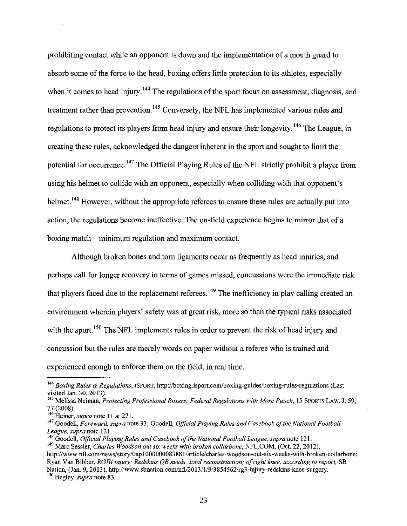prohibiting contact while an opponent is down and the implementation of a mouth guard to absorb some of the force to the head, boxing offers little protection to its athletes, especially when it comes to head injury.  $144$  The regulations of the sport focus on assessment, diagnosis, and treatment rather than prevention.<sup>145</sup> Conversely, the NFL has implemented various rules and regulations to protect its players from head injury and ensure their longevity.<sup>146</sup> The League, in creating these rules, acknowledged the dangers inherent in the sport and sought to limit the potential for occurrence.<sup>147</sup> The Official Playing Rules of the NFL strictly prohibit a player from using his helmet to collide with an opponent, especially when colliding with that opponent's helmet.<sup>148</sup> However, without the appropriate referees to ensure these rules are actually put into action, the regulations become ineffective. The on-field experience begins to mirror that of a boxing match-minimum regulation and maximum contact.

Although broken bones and tom ligaments occur as frequently as head injuries, and perhaps call for longer recovery in terms of games missed, concussions were the immediate risk that players faced due to the replacement referees.<sup>149</sup> The inefficiency in play calling created an environment wherein players' safety was at great risk, more so than the typical risks associated with the sport.<sup>150</sup> The NFL implements rules in order to prevent the risk of head injury and concussion but the rules are merely words on paper without a referee who is trained and experienced enough to enforce them on the field, in real time.

<sup>&</sup>lt;sup>144</sup> Boxing Rules & Regulations, *ISPORT*, http://boxing.isport.com/boxing-guides/boxing-rules-regulations (Last visited Jan. 30, 2013).

<sup>&</sup>lt;sup>145</sup> Melissa Neiman, *Protecting Professional Boxers: Federal Regulations with More Punch*, 15 SPORTS LAW. J. 59,

<sup>77 (2008).&</sup>lt;br><sup>146</sup> Heiner, *supra* note 11 at 271.<br><sup>147</sup> Goodell, *Foreward, supra* note 33; Goodell, *Official Playing Rules and Casebook of the National Football League, supra* note 121.

<sup>&</sup>lt;sup>148</sup> Goodell, *Official Playing Rules and Casebook of the National Football League, supra* note 121.<br><sup>149</sup> Marc Sessler, *Charles Woodson out six weeks with broken collarbone*, NFL.COM, (Oct. 22, 2012),

http://www.nfl.com/news/story/0ap100000083881/article/charles-woodson-out-six-weeks-with-broken-collarbone; Ryan VanBibber, *RGIII injury: Redskins QB needs 'total reconstruction; of right knee, according to report,* SB Nation, (Jan. 9, 2013 ), http:/ /www.sbnation.com/nfl/20 13/1/9/3 854562/rg3-injury-redskins-knee-surgery. 150 Begley, *supra* note 83.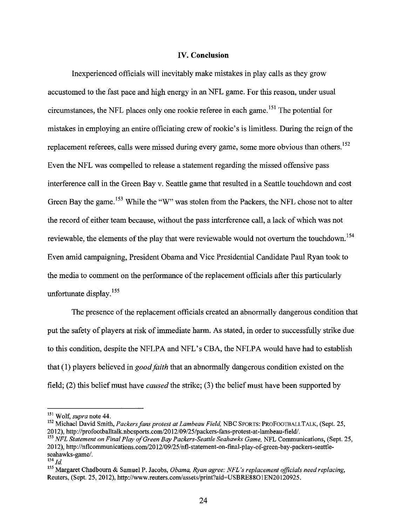#### IV. **Conclusion**

Inexperienced officials will inevitably make mistakes in play calls as they grow accustomed to the fast pace and high energy in an NFL game. For this reason, under usual circumstances, the NFL places only one rookie referee in each game. 151 The potential for mistakes in employing an entire officiating crew of rookie's is limitless. During the reign of the replacement referees, calls were missed during every game, some more obvious than others.<sup>152</sup> Even the NFL was compelled to release a statement regarding the missed offensive pass interference call in the Green Bay v. Seattle game that resulted in a Seattle touchdown and cost Green Bay the game.<sup>153</sup> While the "W" was stolen from the Packers, the NFL chose not to alter the record of either team because, without the pass interference call, a lack of which was not reviewable, the elements of the play that were reviewable would not overturn the touchdown. <sup>154</sup> Even amid campaigning, President Obama and Vice Presidential Candidate Paul Ryan took to the media to comment on the performance of the replacement officials after this particularly unfortunate display. <sup>155</sup>

The presence of the replacement officials created an abnormally dangerous condition that put the safety of players at risk of immediate harm. As stated, in order to successfully strike due to this condition, despite the NFLPA and NFL's CBA, the NFLPA would have had to establish that (1) players believed in *good faith* that an abnormally dangerous condition existed on the field; (2) this belief must have *caused* the strike; (3) the belief must have been supported by

<sup>&</sup>lt;sup>151</sup> Wolf, *supra* note 44.<br><sup>152</sup> Michael David Smith, *Packers fans protest at Lambeau Field*, NBC SPORTS: PROFOOTBALLTALK, (Sept. 25,<br>2012), http://profootballtalk.nbcsports.com/2012/09/25/packers-fans-protest-at-lambea

<sup>&</sup>lt;sup>153</sup> *NFL Statement on Final Play of Green Bay Packers-Seattle Seahawks Game, NFL Communications, (Sept. 25,* 2012), http://nflcommunications.com/2012/09/25/nfl-statement-on-final-play-of-green-bay-packers-seattleseahawks-game/.

 $^{154}$  *Id.* 

<sup>155</sup>Margaret Chadbourn & Samuel P. Jacobs, *Obama, Ryan agree: NFL 's replacement officials need replacing,*  Reuters, (Sept. 25, 2012), http://www.reuters.com/assets/print?aid=USBRE88O1EN20120925.